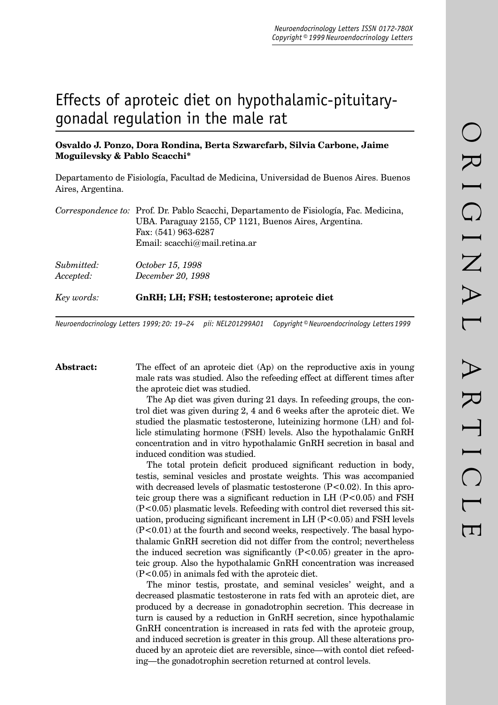# Effects of aproteic diet on hypothalamic-pituitarygonadal regulation in the male rat

## **Osvaldo J. Ponzo, Dora Rondina, Berta Szwarcfarb, Silvia Carbone, Jaime Moguilevsky & Pablo Scacchi\***

Departamento de Fisiología, Facultad de Medicina, Universidad de Buenos Aires. Buenos Aires, Argentina.

| Key words: | GnRH; LH; FSH; testosterone; aproteic diet                                             |  |
|------------|----------------------------------------------------------------------------------------|--|
| Accepted:  | December 20, 1998                                                                      |  |
| Submitted: | October 15, 1998                                                                       |  |
|            | Email: $\text{scacchi}\(\omega\text{mail}.\text{retina}.\text{ar})$                    |  |
|            | Fax: $(541)$ 963-6287                                                                  |  |
|            | UBA. Paraguay 2155, CP 1121, Buenos Aires, Argentina.                                  |  |
|            | Correspondence to: Prof. Dr. Pablo Scacchi, Departamento de Fisiología, Fac. Medicina, |  |

*Neuroendocrinology Letters 1999; 20: 19–24 pii: NEL201299A01 Copyright © Neuroendocrinology Letters 1999*

**Abstract:** The effect of an aproteic diet (Ap) on the reproductive axis in young male rats was studied. Also the refeeding effect at different times after the aproteic diet was studied.

> The Ap diet was given during 21 days. In refeeding groups, the control diet was given during 2, 4 and 6 weeks after the aproteic diet. We studied the plasmatic testosterone, luteinizing hormone (LH) and follicle stimulating hormone (FSH) levels. Also the hypothalamic GnRH concentration and in vitro hypothalamic GnRH secretion in basal and induced condition was studied.

> The total protein deficit produced significant reduction in body, testis, seminal vesicles and prostate weights. This was accompanied with decreased levels of plasmatic testosterone (P<0.02). In this aproteic group there was a significant reduction in LH  $(P<0.05)$  and FSH  $(P<0.05)$  plasmatic levels. Refeeding with control diet reversed this situation, producing significant increment in  $LH$  (P $<$ 0.05) and FSH levels (P<0.01) at the fourth and second weeks, respectively. The basal hypothalamic GnRH secretion did not differ from the control; nevertheless the induced secretion was significantly  $(P<0.05)$  greater in the aproteic group. Also the hypothalamic GnRH concentration was increased (P<0.05) in animals fed with the aproteic diet.

> The minor testis, prostate, and seminal vesicles' weight, and a decreased plasmatic testosterone in rats fed with an aproteic diet, are produced by a decrease in gonadotrophin secretion. This decrease in turn is caused by a reduction in GnRH secretion, since hypothalamic GnRH concentration is increased in rats fed with the aproteic group, and induced secretion is greater in this group. All these alterations produced by an aproteic diet are reversible, since—with contol diet refeeding—the gonadotrophin secretion returned at control levels.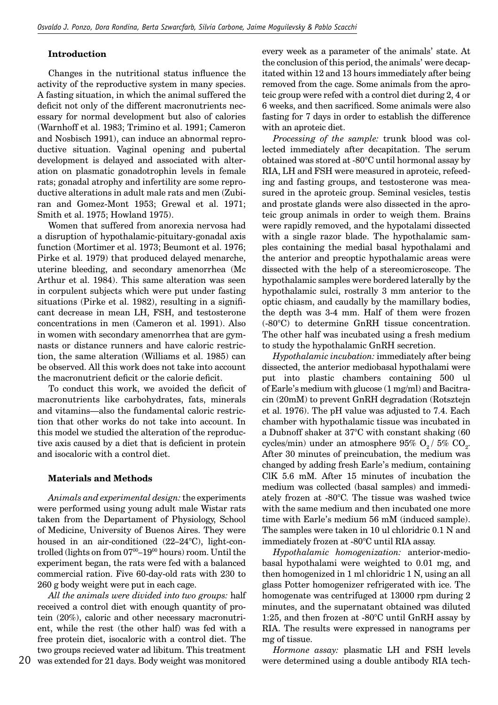#### **Introduction**

Changes in the nutritional status influence the activity of the reproductive system in many species. A fasting situation, in which the animal suffered the deficit not only of the different macronutrients necessary for normal development but also of calories (Warnhoff et al. 1983; Trimino et al. 1991; Cameron and Nosbisch 1991), can induce an abnormal reproductive situation. Vaginal opening and pubertal development is delayed and associated with alteration on plasmatic gonadotrophin levels in female rats; gonadal atrophy and infertility are some reproductive alterations in adult male rats and men (Zubiran and Gomez-Mont 1953; Grewal et al. 1971; Smith et al. 1975; Howland 1975).

Women that suffered from anorexia nervosa had a disruption of hypothalamic-pituitary-gonadal axis function (Mortimer et al. 1973; Beumont et al. 1976; Pirke et al. 1979) that produced delayed menarche, uterine bleeding, and secondary amenorrhea (Mc Arthur et al. 1984). This same alteration was seen in corpulent subjects which were put under fasting situations (Pirke et al. 1982), resulting in a significant decrease in mean LH, FSH, and testosterone concentrations in men (Cameron et al. 1991). Also in women with secondary amenorrhea that are gymnasts or distance runners and have caloric restriction, the same alteration (Williams et al. 1985) can be observed. All this work does not take into account the macronutrient deficit or the calorie deficit.

To conduct this work, we avoided the deficit of macronutrients like carbohydrates, fats, minerals and vitamins—also the fundamental caloric restriction that other works do not take into account. In this model we studied the alteration of the reproductive axis caused by a diet that is deficient in protein and isocaloric with a control diet.

#### **Materials and Methods**

*Animals and experimental design:* the experiments were performed using young adult male Wistar rats taken from the Departament of Physiology, School of Medicine, University of Buenos Aires. They were housed in an air-conditioned (22–24°C), light-controlled (lights on from  $07^{00} - 19^{00}$  hours) room. Until the experiment began, the rats were fed with a balanced commercial ration. Five 60-day-old rats with 230 to 260 g body weight were put in each cage.

*All the animals were divided into two groups:* half received a control diet with enough quantity of protein (20%), caloric and other necessary macronutrient, while the rest (the other half) was fed with a free protein diet, isocaloric with a control diet. The two groups recieved water ad libitum. This treatment

every week as a parameter of the animals' state. At the conclusion of this period, the animals' were decapitated within 12 and 13 hours immediately after being removed from the cage. Some animals from the aproteic group were refed with a control diet during 2, 4 or 6 weeks, and then sacrificed. Some animals were also fasting for 7 days in order to establish the difference with an aproteic diet.

*Processing of the sample:* trunk blood was collected immediately after decapitation. The serum obtained was stored at -80°C until hormonal assay by RIA, LH and FSH were measured in aproteic, refeeding and fasting groups, and testosterone was measured in the aproteic group. Seminal vesicles, testis and prostate glands were also dissected in the aproteic group animals in order to weigh them. Brains were rapidly removed, and the hypotalami dissected with a single razor blade. The hypothalamic samples containing the medial basal hypothalami and the anterior and preoptic hypothalamic areas were dissected with the help of a stereomicroscope. The hypothalamic samples were bordered laterally by the hypothalamic sulci, rostrally 3 mm anterior to the optic chiasm, and caudally by the mamillary bodies, the depth was 3-4 mm. Half of them were frozen (-80°C) to determine GnRH tissue concentration. The other half was incubated using a fresh medium to study the hypothalamic GnRH secretion.

*Hypothalamic incubation:* immediately after being dissected, the anterior mediobasal hypothalami were put into plastic chambers containing 500 ul of Earle's medium with glucose (1 mg/ml) and Bacitracin (20mM) to prevent GnRH degradation (Rotsztejn et al. 1976). The pH value was adjusted to 7.4. Each chamber with hypothalamic tissue was incubated in a Dubnoff shaker at 37°C with constant shaking (60 cycles/min) under an atmosphere  $95\%$  O<sub>2</sub>/  $5\%$  CO<sub>2</sub>. After 30 minutes of preincubation, the medium was changed by adding fresh Earle's medium, containing ClK 5.6 mM. After 15 minutes of incubation the medium was collected (basal samples) and immediately frozen at -80°C. The tissue was washed twice with the same medium and then incubated one more time with Earle's medium 56 mM (induced sample). The samples were taken in 10 ul chloridric 0.1 N and immediately frozen at -80°C until RIA assay.

*Hypothalamic homogenization:* anterior-mediobasal hypothalami were weighted to 0.01 mg, and then homogenized in 1 ml chloridric 1 N, using an all glass Potter homogenizer refrigerated with ice. The homogenate was centrifuged at 13000 rpm during 2 minutes, and the supernatant obtained was diluted 1:25, and then frozen at -80°C until GnRH assay by RIA. The results were expressed in nanograms per mg of tissue.

*Hormone assay:* plasmatic LH and FSH levels were determined using a double antibody RIA tech-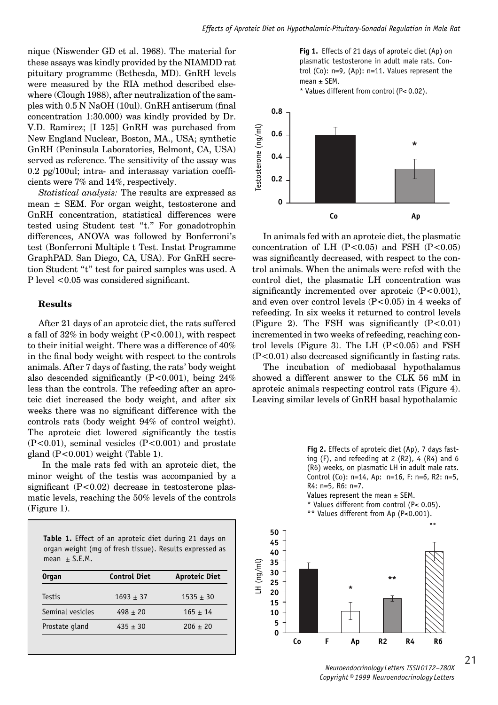nique (Niswender GD et al. 1968). The material for these assays was kindly provided by the NIAMDD rat pituitary programme (Bethesda, MD). GnRH levels were measured by the RIA method described elsewhere (Clough 1988), after neutralization of the samples with  $0.5$  N NaOH (10ul). GnRH antiserum (final concentration 1:30.000) was kindly provided by Dr. V.D. Ramirez; [I 125] GnRH was purchased from New England Nuclear, Boston, MA., USA; synthetic GnRH (Peninsula Laboratories, Belmont, CA, USA) served as reference. The sensitivity of the assay was  $0.2$  pg/100ul; intra- and interassay variation coefficients were 7% and 14%, respectively.

*Statistical analysis:* The results are expressed as mean  $\pm$  SEM. For organ weight, testosterone and GnRH concentration, statistical differences were tested using Student test "t." For gonadotrophin differences, ANOVA was followed by Bonferroni's test (Bonferroni Multiple t Test. Instat Programme GraphPAD. San Diego, CA, USA). For GnRH secretion Student "t" test for paired samples was used. A P level  $< 0.05$  was considered significant.

#### **Results**

After 21 days of an aproteic diet, the rats suffered a fall of  $32\%$  in body weight (P<0.001), with respect to their initial weight. There was a difference of 40% in the final body weight with respect to the controls animals. After 7 days of fasting, the rats' body weight also descended significantly  $(P<0.001)$ , being 24% less than the controls. The refeeding after an aproteic diet increased the body weight, and after six weeks there was no significant difference with the controls rats (body weight 94% of control weight). The aproteic diet lowered significantly the testis (P<0.01), seminal vesicles (P<0.001) and prostate gland  $(P<0.001)$  weight (Table 1).

 In the male rats fed with an aproteic diet, the minor weight of the testis was accompanied by a significant  $(P<0.02)$  decrease in testosterone plasmatic levels, reaching the 50% levels of the controls (Figure 1).

| Table 1. Effect of an aproteic diet during 21 days on   |
|---------------------------------------------------------|
| organ weight (mg of fresh tissue). Results expressed as |
| mean $\pm$ S.E.M.                                       |

| <b>Organ</b>     | <b>Control Diet</b> | <b>Aproteic Diet</b> |
|------------------|---------------------|----------------------|
| Testis           | $1693 \pm 37$       | $1535 \pm 30$        |
| Seminal vesicles | $498 + 20$          | $165 + 14$           |
| Prostate gland   | $435 + 30$          | $206 + 20$           |



\* Values different from control (P< 0.02).



In animals fed with an aproteic diet, the plasmatic concentration of LH  $(P<0.05)$  and FSH  $(P<0.05)$ was significantly decreased, with respect to the control animals. When the animals were refed with the control diet, the plasmatic LH concentration was significantly incremented over aproteic  $(P<0.001)$ , and even over control levels  $(P<0.05)$  in 4 weeks of refeeding. In six weeks it returned to control levels (Figure 2). The FSH was significantly  $(P<0.01)$ incremented in two weeks of refeeding, reaching control levels (Figure 3). The LH  $(P<0.05)$  and FSH  $(P<0.01)$  also decreased significantly in fasting rats.

The incubation of mediobasal hypothalamus showed a different answer to the CLK 56 mM in aproteic animals respecting control rats (Figure 4). Leaving similar levels of GnRH basal hypothalamic

> **Fig 2.** Effects of aproteic diet (Ap), 7 days fasting  $(F)$ , and refeeding at 2  $(R2)$ , 4  $(R4)$  and 6 (R6) weeks, on plasmatic LH in adult male rats. Control (Co): n=14, Ap: n=16, F: n=6, R2: n=5, R4: n=5, R6: n=7.

Values represent the mean  $\pm$  SEM.

\* Values different from control (P< 0.05).

°° Values different from Ap (P<0.001).



**50**

*Neuroendocrinology Letters ISSN 0172–780X Copyright © 1999 Neuroendocrinology Letters*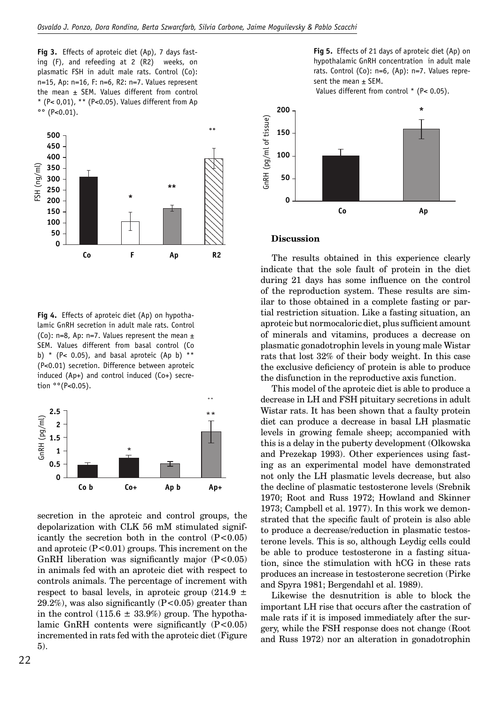**Fig 3.** Effects of aproteic diet (Ap), 7 days fasting (F), and refeeding at 2 (R2) weeks, on plasmatic FSH in adult male rats. Control (Co): n=15, Ap: n=16, F: n=6, R2: n=7. Values represent the mean  $\pm$  SEM. Values different from control \* (P< 0,01), \*\* (P<0.05). Values different from Ap  $^{\circ}$  (P<0.01).



**Fig 4.** Effects of aproteic diet (Ap) on hypothalamic GnRH secretion in adult male rats. Control (Co):  $n=8$ . Ap:  $n=7$ . Values represent the mean  $\pm$ SEM. Values different from basal control (Co b) \* (P< 0.05), and basal aproteic (Ap b) \*\* (P<0.01) secretion. Difference between aproteic induced (Ap+) and control induced (Co+) secretion °°(P<0.05).



secretion in the aproteic and control groups, the depolarization with CLK 56 mM stimulated significantly the secretion both in the control  $(P<0.05)$ and aproteic  $(P<0.01)$  groups. This increment on the GnRH liberation was significantly major  $(P<0.05)$ in animals fed with an aproteic diet with respect to controls animals. The percentage of increment with respect to basal levels, in aproteic group  $(214.9 \pm$ 29.2%), was also significantly  $(P<0.05)$  greater than in the control (115.6  $\pm$  33.9%) group. The hypothalamic GnRH contents were significantly  $(P<0.05)$ incremented in rats fed with the aproteic diet (Figure 5).

**Fig 5.** Effects of 21 days of aproteic diet (Ap) on hypothalamic GnRH concentration in adult male rats. Control (Co): n=6, (Ap): n=7. Values represent the mean  $\pm$  SEM.

Values different from control \* (P< 0.05).



#### **Discussion**

The results obtained in this experience clearly indicate that the sole fault of protein in the diet during 21 days has some influence on the control of the reproduction system. These results are similar to those obtained in a complete fasting or partial restriction situation. Like a fasting situation, an aproteic but normocaloric diet, plus sufficient amount of minerals and vitamins, produces a decrease on plasmatic gonadotrophin levels in young male Wistar rats that lost 32% of their body weight. In this case the exclusive deficiency of protein is able to produce the disfunction in the reproductive axis function.

This model of the aproteic diet is able to produce a decrease in LH and FSH pituitary secretions in adult Wistar rats. It has been shown that a faulty protein diet can produce a decrease in basal LH plasmatic levels in growing female sheep; accompanied with this is a delay in the puberty development (Olkowska and Prezekap 1993). Other experiences using fasting as an experimental model have demonstrated not only the LH plasmatic levels decrease, but also the decline of plasmatic testosterone levels (Srebnik 1970; Root and Russ 1972; Howland and Skinner 1973; Campbell et al. 1977). In this work we demonstrated that the specific fault of protein is also able to produce a decrease/reduction in plasmatic testosterone levels. This is so, although Leydig cells could be able to produce testosterone in a fasting situation, since the stimulation with hCG in these rats produces an increase in testosterone secretion (Pirke and Spyra 1981; Bergendahl et al. 1989).

Likewise the desnutrition is able to block the important LH rise that occurs after the castration of male rats if it is imposed immediately after the surgery, while the FSH response does not change (Root and Russ 1972) nor an alteration in gonadotrophin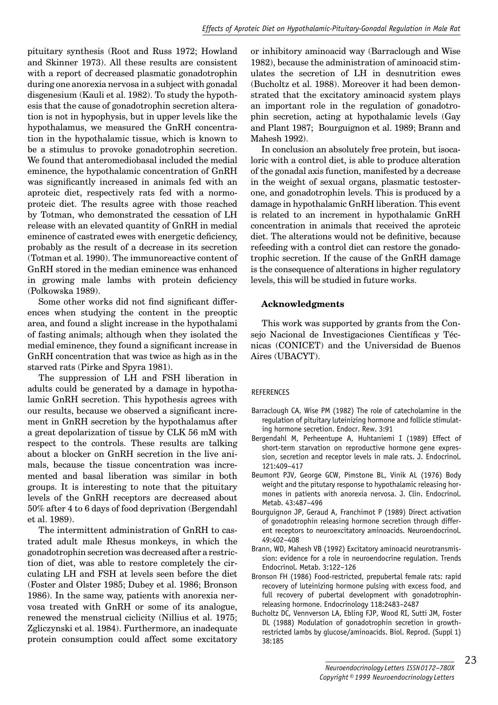pituitary synthesis (Root and Russ 1972; Howland and Skinner 1973). All these results are consistent with a report of decreased plasmatic gonadotrophin during one anorexia nervosa in a subject with gonadal disgenesium (Kauli et al. 1982). To study the hypothesis that the cause of gonadotrophin secretion alteration is not in hypophysis, but in upper levels like the hypothalamus, we measured the GnRH concentration in the hypothalamic tissue, which is known to be a stimulus to provoke gonadotrophin secretion. We found that anteromediobasal included the medial eminence, the hypothalamic concentration of GnRH was significantly increased in animals fed with an aproteic diet, respectively rats fed with a normoproteic diet. The results agree with those reached by Totman, who demonstrated the cessation of LH release with an elevated quantity of GnRH in medial eminence of castrated ewes with energetic deficiency, probably as the result of a decrease in its secretion (Totman et al. 1990). The immunoreactive content of GnRH stored in the median eminence was enhanced in growing male lambs with protein deficiency (Polkowska 1989).

Some other works did not find significant differences when studying the content in the preoptic area, and found a slight increase in the hypothalami of fasting animals; although when they isolated the medial eminence, they found a significant increase in GnRH concentration that was twice as high as in the starved rats (Pirke and Spyra 1981).

The suppression of LH and FSH liberation in adults could be generated by a damage in hypothalamic GnRH secretion. This hypothesis agrees with our results, because we observed a significant increment in GnRH secretion by the hypothalamus after a great depolarization of tissue by CLK 56 mM with respect to the controls. These results are talking about a blocker on GnRH secretion in the live animals, because the tissue concentration was incremented and basal liberation was similar in both groups. It is interesting to note that the pituitary levels of the GnRH receptors are decreased about 50% after 4 to 6 days of food deprivation (Bergendahl et al. 1989).

The intermittent administration of GnRH to castrated adult male Rhesus monkeys, in which the gonadotrophin secretion was decreased after a restriction of diet, was able to restore completely the circulating LH and FSH at levels seen before the diet (Foster and Olster 1985; Dubey et al. 1986; Bronson 1986). In the same way, patients with anorexia nervosa treated with GnRH or some of its analogue, renewed the menstrual ciclicity (Nillius et al. 1975; Zgliczynski et al. 1984). Furthermore, an inadequate protein consumption could affect some excitatory or inhibitory aminoacid way (Barraclough and Wise 1982), because the administration of aminoacid stimulates the secretion of LH in desnutrition ewes (Bucholtz et al. 1988). Moreover it had been demonstrated that the excitatory aminoacid system plays an important role in the regulation of gonadotrophin secretion, acting at hypothalamic levels (Gay and Plant 1987; Bourguignon et al. 1989; Brann and Mahesh 1992).

In conclusion an absolutely free protein, but isocaloric with a control diet, is able to produce alteration of the gonadal axis function, manifested by a decrease in the weight of sexual organs, plasmatic testosterone, and gonadotrophin levels. This is produced by a damage in hypothalamic GnRH liberation. This event is related to an increment in hypothalamic GnRH concentration in animals that received the aproteic diet. The alterations would not be definitive, because refeeding with a control diet can restore the gonadotrophic secretion. If the cause of the GnRH damage is the consequence of alterations in higher regulatory levels, this will be studied in future works.

### **Acknowledgments**

This work was supported by grants from the Consejo Nacional de Investigaciones Científicas y Técnicas (CONICET) and the Universidad de Buenos Aires (UBACYT).

#### REFERENCES

- Barraclough CA, Wise PM (1982) The role of catecholamine in the regulation of pituitary luteinizing hormone and follicle stimulating hormone secretion. Endocr. Rew. 3:91
- Bergendahl M, Perheentupe A, Huhtaniemi I (1989) Effect of short-term starvation on reproductive hormone gene expression, secretion and receptor levels in male rats. J. Endocrinol. 121:409–417
- Beumont PJV, George GCW, Pimstone BL, Vinik AL (1976) Body weight and the pitutary response to hypothalamic releasing hormones in patients with anorexia nervosa. J. Clin. Endocrinol. Metab. 43:487–496
- Bourguignon JP, Geraud A, Franchimot P (1989) Direct activation of gonadotrophin releasing hormone secretion through different receptors to neuroexcitatory aminoacids. Neuroendocrinol. 49:402–408
- Brann, WD, Mahesh VB (1992) Excitatory aminoacid neurotransmission: evidence for a role in neuroendocrine regulation. Trends Endocrinol. Metab. 3:122–126
- Bronson FH (1986) Food-restricted, prepubertal female rats: rapid recovery of luteinizing hormone pulsing with excess food, and full recovery of pubertal development with gonadotrophinreleasing hormone. Endocrinology 118:2483–2487
- Bucholtz DC, Vennverson LA, Ebling FJP, Wood RI, Sutti JM, Foster DL (1988) Modulation of gonadotrophin secretion in growthrestricted lambs by glucose/aminoacids. Biol. Reprod. (Suppl 1) 38:185

23